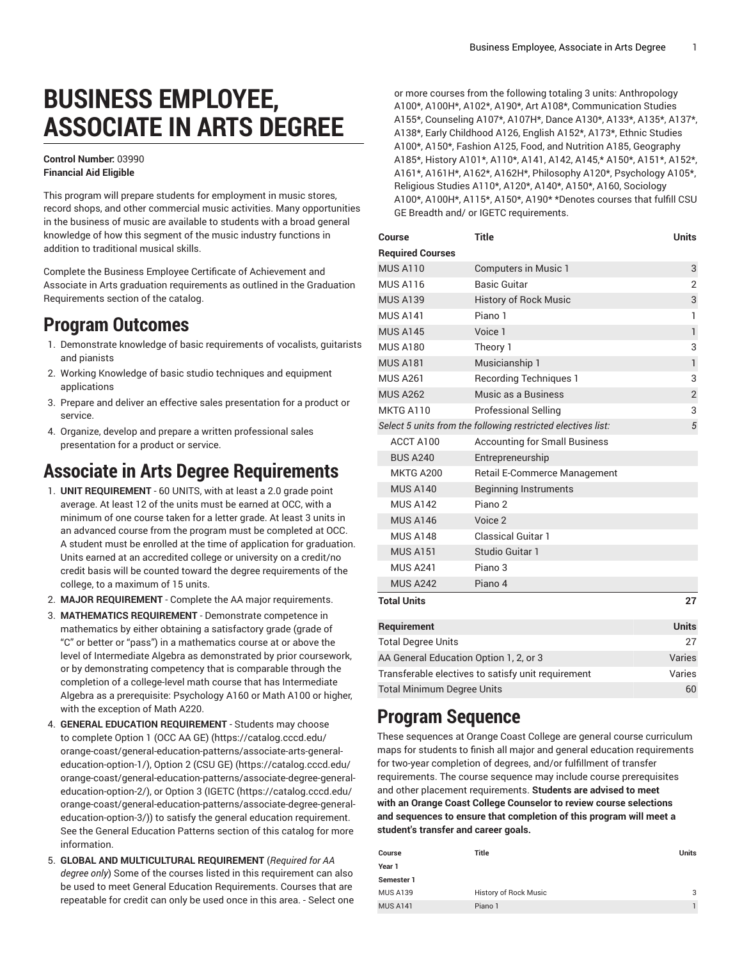# **BUSINESS EMPLOYEE, ASSOCIATE IN ARTS DEGREE**

#### **Control Number:** 03990 **Financial Aid Eligible**

This program will prepare students for employment in music stores, record shops, and other commercial music activities. Many opportunities in the business of music are available to students with a broad general knowledge of how this segment of the music industry functions in addition to traditional musical skills.

Complete the Business Employee Certificate of Achievement and Associate in Arts graduation requirements as outlined in the Graduation Requirements section of the catalog.

## **Program Outcomes**

- 1. Demonstrate knowledge of basic requirements of vocalists, guitarists and pianists
- 2. Working Knowledge of basic studio techniques and equipment applications
- 3. Prepare and deliver an effective sales presentation for a product or service.
- 4. Organize, develop and prepare a written professional sales presentation for a product or service.

## **Associate in Arts Degree Requirements**

- 1. **UNIT REQUIREMENT** 60 UNITS, with at least a 2.0 grade point average. At least 12 of the units must be earned at OCC, with a minimum of one course taken for a letter grade. At least 3 units in an advanced course from the program must be completed at OCC. A student must be enrolled at the time of application for graduation. Units earned at an accredited college or university on a credit/no credit basis will be counted toward the degree requirements of the college, to a maximum of 15 units.
- 2. **MAJOR REQUIREMENT** Complete the AA major requirements.
- 3. **MATHEMATICS REQUIREMENT** Demonstrate competence in mathematics by either obtaining a satisfactory grade (grade of "C" or better or "pass") in a mathematics course at or above the level of Intermediate Algebra as demonstrated by prior coursework, or by demonstrating competency that is comparable through the completion of a college-level math course that has Intermediate Algebra as a prerequisite: Psychology A160 or Math A100 or higher, with the exception of Math A220.
- 4. **GENERAL EDUCATION REQUIREMENT** Students may choose to complete [Option 1 \(OCC AA GE\)](https://catalog.cccd.edu/orange-coast/general-education-patterns/associate-arts-general-education-option-1/) [\(https://catalog.cccd.edu/](https://catalog.cccd.edu/orange-coast/general-education-patterns/associate-arts-general-education-option-1/) [orange-coast/general-education-patterns/associate-arts-general](https://catalog.cccd.edu/orange-coast/general-education-patterns/associate-arts-general-education-option-1/)[education-option-1/\)](https://catalog.cccd.edu/orange-coast/general-education-patterns/associate-arts-general-education-option-1/), [Option 2 \(CSU GE\)](https://catalog.cccd.edu/orange-coast/general-education-patterns/associate-degree-general-education-option-2/) ([https://catalog.cccd.edu/](https://catalog.cccd.edu/orange-coast/general-education-patterns/associate-degree-general-education-option-2/) [orange-coast/general-education-patterns/associate-degree-general](https://catalog.cccd.edu/orange-coast/general-education-patterns/associate-degree-general-education-option-2/)[education-option-2/\)](https://catalog.cccd.edu/orange-coast/general-education-patterns/associate-degree-general-education-option-2/), or [Option](https://catalog.cccd.edu/orange-coast/general-education-patterns/associate-degree-general-education-option-3/) 3 (IGETC [\(https://catalog.cccd.edu/](https://catalog.cccd.edu/orange-coast/general-education-patterns/associate-degree-general-education-option-3/) [orange-coast/general-education-patterns/associate-degree-general](https://catalog.cccd.edu/orange-coast/general-education-patterns/associate-degree-general-education-option-3/)[education-option-3/\)](https://catalog.cccd.edu/orange-coast/general-education-patterns/associate-degree-general-education-option-3/)) to satisfy the general education requirement. See the General Education Patterns section of this catalog for more information.
- 5. **GLOBAL AND MULTICULTURAL REQUIREMENT** (*Required for AA degree only*) Some of the courses listed in this requirement can also be used to meet General Education Requirements. Courses that are repeatable for credit can only be used once in this area. - Select one

or more courses from the following totaling 3 units: Anthropology A100\*, A100H\*, A102\*, A190\*, Art A108\*, Communication Studies A155\*, Counseling A107\*, A107H\*, Dance A130\*, A133\*, A135\*, A137\*, A138\*, Early Childhood A126, English A152\*, A173\*, Ethnic Studies A100\*, A150\*, Fashion A125, Food, and Nutrition A185, Geography A185\*, History A101\*, A110\*, A141, A142, A145,\* A150\*, A151\*, A152\*, A161\*, A161H\*, A162\*, A162H\*, Philosophy A120\*, Psychology A105\*, Religious Studies A110\*, A120\*, A140\*, A150\*, A160, Sociology A100\*, A100H\*, A115\*, A150\*, A190\* \*Denotes courses that fulfill CSU GE Breadth and/ or IGETC requirements.

| Course                                             | <b>Title</b>                                                 | <b>Units</b>   |
|----------------------------------------------------|--------------------------------------------------------------|----------------|
| <b>Required Courses</b>                            |                                                              |                |
| <b>MUS A110</b>                                    | Computers in Music 1                                         | 3              |
| <b>MUS A116</b>                                    | <b>Basic Guitar</b>                                          | $\overline{2}$ |
| <b>MUS A139</b>                                    | <b>History of Rock Music</b>                                 | 3              |
| <b>MUS A141</b>                                    | Piano 1                                                      | 1              |
| <b>MUS A145</b>                                    | Voice 1                                                      | $\mathbf{1}$   |
| <b>MUS A180</b>                                    | Theory 1                                                     | 3              |
| <b>MUS A181</b>                                    | Musicianship 1                                               | 1              |
| <b>MUS A261</b>                                    | <b>Recording Techniques 1</b>                                | 3              |
| <b>MUS A262</b>                                    | Music as a Business                                          | $\overline{2}$ |
| MKTG A110                                          | <b>Professional Selling</b>                                  | 3              |
|                                                    | Select 5 units from the following restricted electives list: | 5              |
| ACCT A100                                          | <b>Accounting for Small Business</b>                         |                |
| <b>BUS A240</b>                                    | Entrepreneurship                                             |                |
| <b>MKTG A200</b>                                   | Retail E-Commerce Management                                 |                |
| <b>MUS A140</b>                                    | <b>Beginning Instruments</b>                                 |                |
| <b>MUS A142</b>                                    | Piano <sub>2</sub>                                           |                |
| <b>MUS A146</b>                                    | Voice 2                                                      |                |
| <b>MUS A148</b>                                    | <b>Classical Guitar 1</b>                                    |                |
| <b>MUS A151</b>                                    | Studio Guitar 1                                              |                |
| <b>MUS A241</b>                                    | Piano 3                                                      |                |
| <b>MUS A242</b>                                    | Piano 4                                                      |                |
| <b>Total Units</b>                                 |                                                              | 27             |
| Requirement                                        |                                                              | <b>Units</b>   |
| <b>Total Degree Units</b>                          |                                                              | 27             |
| AA General Education Option 1, 2, or 3             |                                                              | Varies         |
| Transferable electives to satisfy unit requirement |                                                              |                |
| <b>Total Minimum Degree Units</b>                  |                                                              |                |

## **Program Sequence**

These sequences at Orange Coast College are general course curriculum maps for students to finish all major and general education requirements for two-year completion of degrees, and/or fulfillment of transfer requirements. The course sequence may include course prerequisites and other placement requirements. **Students are advised to meet with an Orange Coast College Counselor to review course selections and sequences to ensure that completion of this program will meet a student's transfer and career goals.**

| Course          | Title                        | Units |
|-----------------|------------------------------|-------|
| Year 1          |                              |       |
| Semester 1      |                              |       |
| <b>MUS A139</b> | <b>History of Rock Music</b> | 3     |
| <b>MUS A141</b> | Piano 1                      |       |